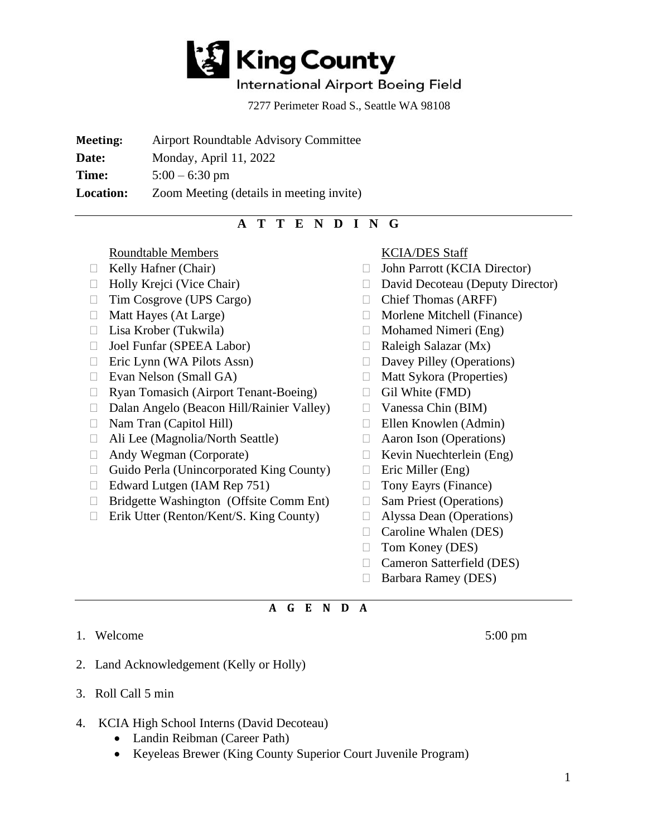

## International Airport Boeing Field

7277 Perimeter Road S., Seattle WA 98108

**Meeting:** Airport Roundtable Advisory Committee

**Date:** Monday, April 11, 2022

**Time:**  $5:00 - 6:30 \text{ pm}$ 

**Location:** Zoom Meeting (details in meeting invite)

## **A T T E N D I N G**

Roundtable Members

- $\Box$  Kelly Hafner (Chair)
- 
- □ Tim Cosgrove (UPS Cargo)
- $\Box$  Matt Hayes (At Large)
- 
- □ Joel Funfar (SPEEA Labor)
- $\Box$  Eric Lynn (WA Pilots Assn)
- □ Evan Nelson (Small GA)
- Ryan Tomasich (Airport Tenant-Boeing)
- $\Box$  Dalan Angelo (Beacon Hill/Rainier Valley)
- Nam Tran (Capitol Hill)
- Ali Lee (Magnolia/North Seattle)
- Andy Wegman (Corporate)
- $\Box$  Guido Perla (Unincorporated King County)
- $\Box$  Edward Lutgen (IAM Rep 751)
- □ Bridgette Washington (Offsite Comm Ent)
- □ Erik Utter (Renton/Kent/S. King County)

KCIA/DES Staff

- □ John Parrott (KCIA Director)
- □ Holly Krejci (Vice Chair) □ David Decoteau (Deputy Director)
	- Chief Thomas (ARFF)
	- $\Box$  Morlene Mitchell (Finance)
- $\Box$  Lisa Krober (Tukwila)  $\Box$  Mohamed Nimeri (Eng)
	- $\Box$  Raleigh Salazar (Mx)
	- Davey Pilley (Operations)
	- □ Matt Sykora (Properties)
	- $\Box$  Gil White (FMD)
	- $\Box$  Vanessa Chin (BIM)
	- $\Box$  Ellen Knowlen (Admin)
	- Aaron Ison (Operations)
	- $\Box$  Kevin Nuechterlein (Eng)
	- $\Box$  Eric Miller (Eng)
	- □ Tony Eayrs (Finance)
	- □ Sam Priest (Operations)
	- Alyssa Dean (Operations)
	- □ Caroline Whalen (DES)
	- $\Box$  Tom Koney (DES)
	- □ Cameron Satterfield (DES)
	- □ Barbara Ramey (DES)

## **A G E N D A**

1. Welcome 5:00 pm

- 2. Land Acknowledgement (Kelly or Holly)
- 3. Roll Call 5 min
- 4. KCIA High School Interns (David Decoteau)
	- Landin Reibman (Career Path)
	- Keyeleas Brewer (King County Superior Court Juvenile Program)